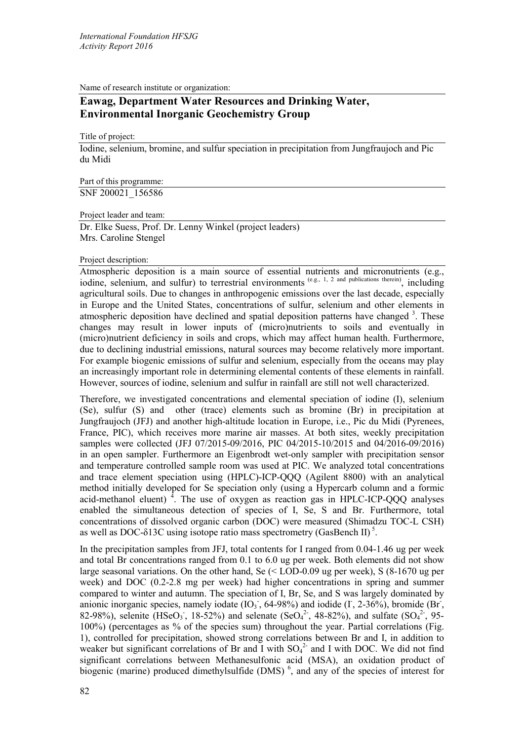Name of research institute or organization:

# **Eawag, Department Water Resources and Drinking Water, Environmental Inorganic Geochemistry Group**

Title of project:

Iodine, selenium, bromine, and sulfur speciation in precipitation from Jungfraujoch and Pic du Midi

Part of this programme: SNF 200021\_156586

Project leader and team:

Dr. Elke Suess, Prof. Dr. Lenny Winkel (project leaders) Mrs. Caroline Stengel

## Project description:

Atmospheric deposition is a main source of essential nutrients and micronutrients (e.g., iodine, selenium, and sulfur) to terrestrial environments  $(e.g., 1, 2)$  and publications therein), including agricultural soils. Due to changes in anthropogenic emissions over the last decade, especially in Europe and the United States, concentrations of sulfur, selenium and other elements in atmospheric deposition have declined and spatial deposition patterns have changed<sup>3</sup>. These changes may result in lower inputs of (micro)nutrients to soils and eventually in (micro)nutrient deficiency in soils and crops, which may affect human health. Furthermore, due to declining industrial emissions, natural sources may become relatively more important. For example biogenic emissions of sulfur and selenium, especially from the oceans may play an increasingly important role in determining elemental contents of these elements in rainfall. However, sources of iodine, selenium and sulfur in rainfall are still not well characterized.

Therefore, we investigated concentrations and elemental speciation of iodine (I), selenium (Se), sulfur (S) and other (trace) elements such as bromine (Br) in precipitation at Jungfraujoch (JFJ) and another high-altitude location in Europe, i.e., Pic du Midi (Pyrenees, France, PIC), which receives more marine air masses. At both sites, weekly precipitation samples were collected (JFJ 07/2015-09/2016, PIC 04/2015-10/2015 and 04/2016-09/2016) in an open sampler. Furthermore an Eigenbrodt wet-only sampler with precipitation sensor and temperature controlled sample room was used at PIC. We analyzed total concentrations and trace element speciation using (HPLC)-ICP-QQQ (Agilent 8800) with an analytical method initially developed for Se speciation only (using a Hypercarb column and a formic acid-methanol eluent)<sup>4</sup>. The use of oxygen as reaction gas in HPLC-ICP-QQQ analyses enabled the simultaneous detection of species of I, Se, S and Br. Furthermore, total concentrations of dissolved organic carbon (DOC) were measured (Shimadzu TOC-L CSH) as well as DOC- $\delta$ 13C using isotope ratio mass spectrometry (GasBench II)<sup>5</sup>.

In the precipitation samples from JFJ, total contents for I ranged from 0.04-1.46 ug per week and total Br concentrations ranged from 0.1 to 6.0 ug per week. Both elements did not show large seasonal variations. On the other hand, Se (< LOD-0.09 ug per week), S (8-1670 ug per week) and DOC (0.2-2.8 mg per week) had higher concentrations in spring and summer compared to winter and autumn. The speciation of I, Br, Se, and S was largely dominated by anionic inorganic species, namely iodate  $(IO<sub>3</sub>$ , 64-98%) and iodide  $( I, 2-36$ %), bromide (Br, 82-98%), selenite (HSeO<sub>3</sub>, 18-52%) and selenate (SeO<sub>4</sub><sup>2</sup>, 48-82%), and sulfate (SO<sub>4</sub><sup>2</sup>, 95-100%) (percentages as % of the species sum) throughout the year. Partial correlations (Fig. 1), controlled for precipitation, showed strong correlations between Br and I, in addition to weaker but significant correlations of Br and I with  $SO_4^2$  and I with DOC. We did not find significant correlations between Methanesulfonic acid (MSA), an oxidation product of biogenic (marine) produced dimethylsulfide (DMS) $<sup>6</sup>$ , and any of the species of interest for</sup>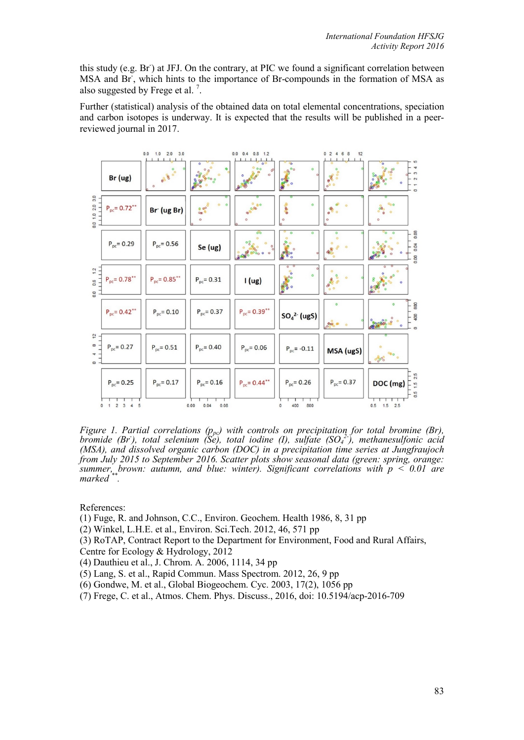this study (e.g. Br) at JFJ. On the contrary, at PIC we found a significant correlation between MSA and Br, which hints to the importance of Br-compounds in the formation of MSA as also suggested by Frege et al.<sup>7</sup>.

Further (statistical) analysis of the obtained data on total elemental concentrations, speciation and carbon isotopes is underway. It is expected that the results will be published in a peerreviewed journal in 2017.



*Figure 1. Partial correlations (p<sub>pc</sub>) with controls on precipitation for total bromine (Br), bromide (Br), total selenium (Se), total iodine (I), sulfate (SO<sub>4</sub><sup>2-</sup>), methanesulfonic acid (MSA), and dissolved organic carbon (DOC) in a precipitation time series at Jungfraujoch from July 2015 to September 2016. Scatter plots show seasonal data (green: spring, orange: summer, brown: autumn, and blue: winter). Significant correlations with p < 0.01 are marked \*\*.* 

References:

- (1) Fuge, R. and Johnson, C.C., Environ. Geochem. Health 1986, 8, 31 pp
- (2) Winkel, L.H.E. et al., Environ. Sci.Tech. 2012, 46, 571 pp
- (3) RoTAP, Contract Report to the Department for Environment, Food and Rural Affairs,
- Centre for Ecology & Hydrology, 2012
- (4) Dauthieu et al., J. Chrom. A. 2006, 1114, 34 pp
- (5) Lang, S. et al., Rapid Commun. Mass Spectrom. 2012, 26, 9 pp
- (6) Gondwe, M. et al., Global Biogeochem. Cyc. 2003, 17(2), 1056 pp
- (7) Frege, C. et al., Atmos. Chem. Phys. Discuss., 2016, doi: 10.5194/acp-2016-709